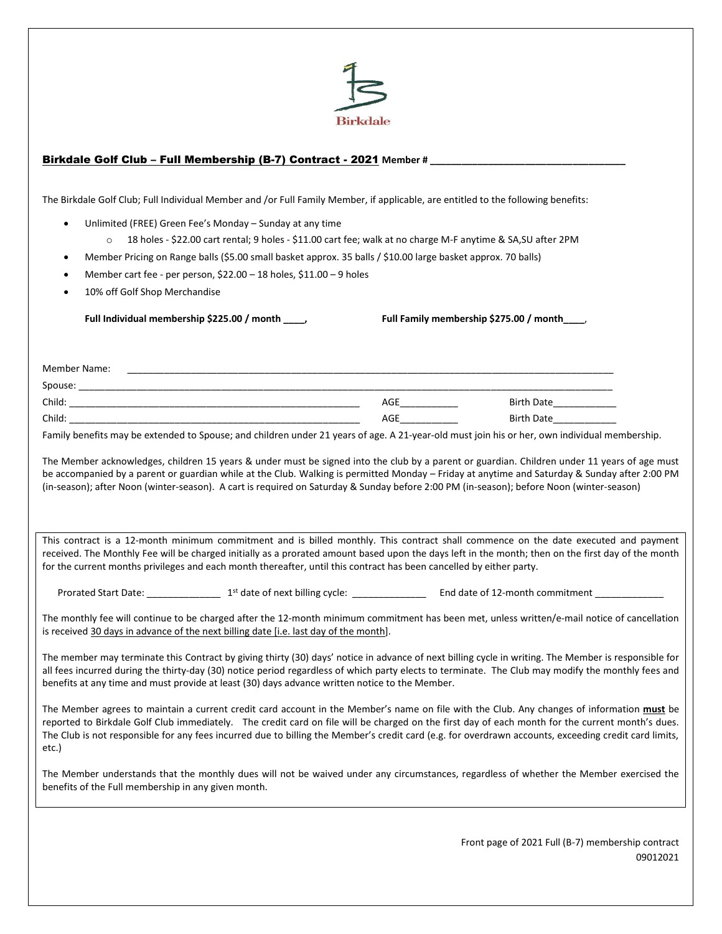

Front page of 2021 Full (B-7) membership contract 09012021